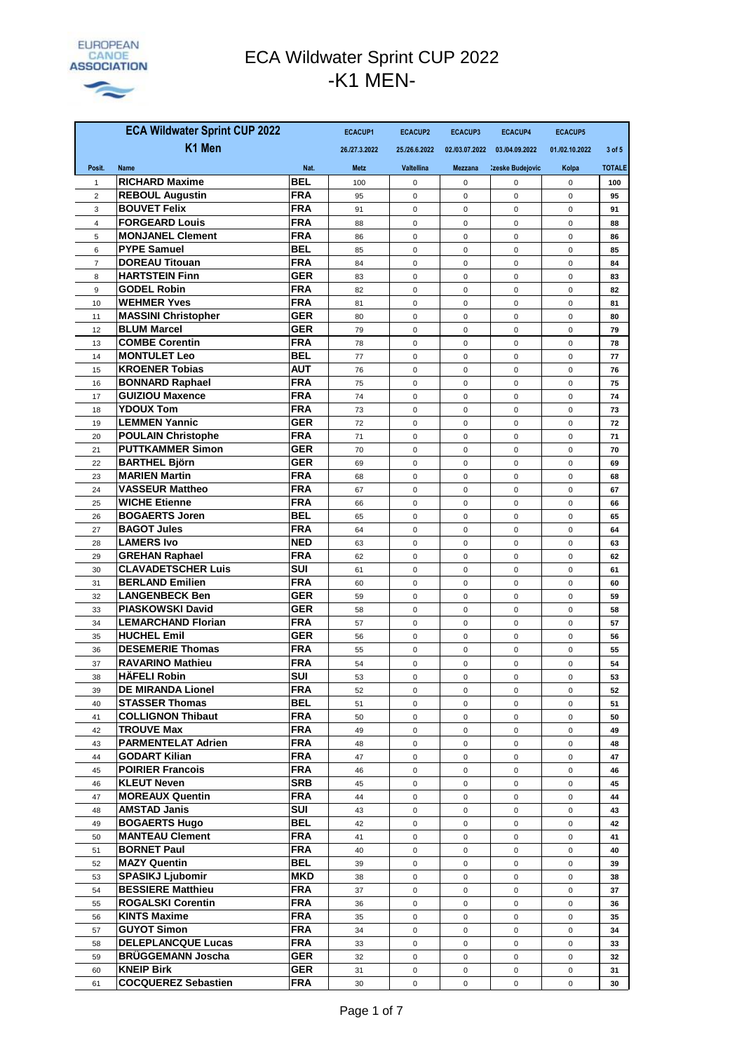

### ECA Wildwater Sprint CUP 2022 -K1 MEN-

|                | <b>ECA Wildwater Sprint CUP 2022</b>            |                   | <b>ECACUP1</b> | <b>ECACUP2</b>    | <b>ECACUP3</b>   | <b>ECACUP4</b>         | <b>ECACUP5</b> |               |
|----------------|-------------------------------------------------|-------------------|----------------|-------------------|------------------|------------------------|----------------|---------------|
|                | K1 Men                                          |                   | 26./27.3.2022  | 25./26.6.2022     | 02./03.07.2022   | 03./04.09.2022         | 01./02.10.2022 | $3$ of $5$    |
| Posit.         | <b>Name</b>                                     | Nat.              | <b>Metz</b>    | <b>Valtellina</b> | <b>Mezzana</b>   | <b>Zeske Budejovic</b> | Kolpa          | <b>TOTALE</b> |
| $\mathbf{1}$   | <b>RICHARD Maxime</b>                           | BEL               | 100            | 0                 | 0                | 0                      | 0              | 100           |
| $\overline{2}$ | <b>REBOUL Augustin</b>                          | <b>FRA</b>        | 95             | 0                 | 0                | 0                      | 0              | 95            |
| 3              | <b>BOUVET Felix</b>                             | <b>FRA</b>        | 91             | 0                 | 0                | 0                      | 0              | 91            |
| 4              | <b>FORGEARD Louis</b>                           | <b>FRA</b>        | 88             | $\mathbf 0$       | $\mathbf 0$      | $\mathbf 0$            | 0              | 88            |
| 5              | <b>MONJANEL Clement</b>                         | <b>FRA</b>        | 86             | 0                 | 0                | $\mathbf 0$            | 0              | 86            |
| 6              | <b>PYPE Samuel</b>                              | BEL               | 85             | $\mathbf 0$       | 0                | $\mathbf 0$            | $\mathbf 0$    | 85            |
| $\overline{7}$ | <b>DOREAU Titouan</b>                           | <b>FRA</b>        | 84             | $\mathbf 0$       | $\mathbf 0$      | $\mathbf 0$            | $\mathbf 0$    | 84            |
| 8              | <b>HARTSTEIN Finn</b>                           | <b>GER</b>        | 83             | $\mathbf 0$       | $\mathbf 0$      | $\mathbf 0$            | 0              | 83            |
| 9              | <b>GODEL Robin</b>                              | <b>FRA</b>        | 82             | $\mathbf 0$       | $\mathbf 0$      | 0                      | 0              | 82            |
| 10             | <b>WEHMER Yves</b>                              | <b>FRA</b>        | 81             | $\mathbf 0$       | 0                | 0                      | $\mathbf 0$    | 81            |
| 11             | <b>MASSINI Christopher</b>                      | GER               | 80             | $\mathbf 0$       | 0                | 0                      | 0              | 80            |
| 12             | <b>BLUM Marcel</b>                              | <b>GER</b>        | 79             | $\mathbf 0$       | 0                | 0                      | $\mathbf 0$    | 79            |
| 13             | <b>COMBE Corentin</b>                           | FRA               | 78             | 0                 | 0                | $\mathbf 0$            | 0              | 78            |
| 14             | <b>MONTULET Leo</b>                             | BEL               | 77             | 0                 | 0                | $\mathbf 0$            | 0              | 77            |
| 15             | <b>KROENER Tobias</b>                           | AUT               | 76             | $\mathbf 0$       | $\mathbf 0$      | 0                      | 0              | 76            |
| 16             | <b>BONNARD Raphael</b>                          | <b>FRA</b>        | 75             | $\mathbf 0$       | $\mathbf 0$      | $\mathbf 0$            | $\mathbf 0$    | 75            |
| 17             | <b>GUIZIOU Maxence</b>                          | <b>FRA</b>        | 74             | $\mathbf 0$       | $\mathbf 0$      | $\mathbf 0$            | $\mathbf 0$    | 74            |
| 18             | <b>YDOUX Tom</b>                                | <b>FRA</b>        | 73             | 0                 | 0                | 0                      | 0              | 73            |
| 19             | <b>LEMMEN Yannic</b>                            | GER               | 72             | $\mathbf 0$       | 0                | 0                      | 0              | 72            |
| 20             | <b>POULAIN Christophe</b>                       | <b>FRA</b>        | 71             | $\mathbf 0$       | 0                | 0                      | 0              | 71            |
| 21             | <b>PUTTKAMMER Simon</b>                         | GER               | 70             | 0                 | 0                | $\mathbf 0$            | 0              | 70            |
| 22             | <b>BARTHEL Björn</b><br><b>MARIEN Martin</b>    | GER<br><b>FRA</b> | 69             | $\mathbf 0$       | $\mathbf 0$      | 0                      | $\mathbf 0$    | 69            |
| 23<br>24       | <b>VASSEUR Mattheo</b>                          | <b>FRA</b>        | 68<br>67       | 0<br>$\mathbf 0$  | 0<br>$\mathbf 0$ | 0<br>0                 | 0<br>0         | 68<br>67      |
| 25             | <b>WICHE Etienne</b>                            | <b>FRA</b>        | 66             | $\mathbf 0$       | 0                | 0                      | 0              | 66            |
| 26             | <b>BOGAERTS Joren</b>                           | BEL               | 65             | $\mathbf 0$       | $\mathbf 0$      | 0                      | $\mathbf 0$    | 65            |
| 27             | <b>BAGOT Jules</b>                              | <b>FRA</b>        | 64             | $\mathbf 0$       | 0                | 0                      | 0              | 64            |
| 28             | <b>LAMERS Ivo</b>                               | <b>NED</b>        | 63             | $\mathbf 0$       | 0                | 0                      | 0              | 63            |
| 29             | <b>GREHAN Raphael</b>                           | <b>FRA</b>        | 62             | $\mathbf 0$       | 0                | 0                      | 0              | 62            |
| 30             | <b>CLAVADETSCHER Luis</b>                       | <b>SUI</b>        | 61             | $\mathbf 0$       | $\mathbf 0$      | $\mathbf 0$            | $\mathbf 0$    | 61            |
| 31             | <b>BERLAND Emilien</b>                          | <b>FRA</b>        | 60             | 0                 | $\mathbf 0$      | $\mathbf 0$            | $\mathbf 0$    | 60            |
| 32             | <b>LANGENBECK Ben</b>                           | GER               | 59             | $\mathbf 0$       | $\mathbf 0$      | $\mathbf 0$            | $\mathbf 0$    | 59            |
| 33             | <b>PIASKOWSKI David</b>                         | GER               | 58             | $\mathbf 0$       | 0                | $\mathbf 0$            | $\mathbf 0$    | 58            |
| 34             | <b>LEMARCHAND Florian</b>                       | <b>FRA</b>        | 57             | 0                 | 0                | 0                      | 0              | 57            |
| 35             | <b>HUCHEL Emil</b>                              | GER               | 56             | 0                 | 0                | 0                      | 0              | 56            |
| 36             | <b>DESEMERIE Thomas</b>                         | <b>FRA</b>        | 55             | $\mathbf 0$       | $\mathbf 0$      | $\mathbf 0$            | 0              | 55            |
| 37             | <b>RAVARINO Mathieu</b>                         | <b>FRA</b>        | 54             | 0                 | 0                | 0                      | 0              | 54            |
| 38             | <b>HÄFELI Robin</b>                             | SUI               | 53             | $\mathbf 0$       | $\mathbf 0$      | $\mathbf 0$            | 0              | 53            |
| 39             | <b>DE MIRANDA Lionel</b>                        | <b>FRA</b>        | 52             | 0                 | 0                | 0                      | 0              | 52            |
| 40             | <b>STASSER Thomas</b>                           | <b>BEL</b>        | 51             | $\mathbf{0}$      | $\mathbf 0$      | $\mathbf 0$            | 0              | 51            |
| 41             | <b>COLLIGNON Thibaut</b>                        | <b>FRA</b>        | 50             | 0                 | 0                | 0                      | 0              | 50            |
| 42             | <b>TROUVE Max</b>                               | FRA               | 49             | 0                 | 0                | 0                      | 0              | 49            |
| 43             | <b>PARMENTELAT Adrien</b>                       | FRA               | 48             | 0                 | 0                | $\mathbf 0$            | 0              | 48            |
| 44             | <b>GODART Kilian</b><br><b>POIRIER Francois</b> | <b>FRA</b><br>FRA | 47             | 0                 | 0                | 0                      | 0              | 47            |
| 45             |                                                 | <b>SRB</b>        | 46             | 0                 | 0                | $\mathbf 0$            | 0              | 46            |
| 46<br>47       | <b>KLEUT Neven</b><br><b>MOREAUX Quentin</b>    | FRA               | 45<br>44       | 0<br>0            | 0<br>0           | 0<br>$\mathbf 0$       | 0<br>0         | 45<br>44      |
| 48             | <b>AMSTAD Janis</b>                             | <b>SUI</b>        | 43             | 0                 | 0                | 0                      | 0              | 43            |
| 49             | <b>BOGAERTS Hugo</b>                            | <b>BEL</b>        | 42             | $\mathsf{O}$      | 0                | 0                      | 0              | 42            |
| 50             | <b>MANTEAU Clement</b>                          | FRA               | 41             | 0                 | 0                | $\mathbf 0$            | 0              | 41            |
| 51             | <b>BORNET Paul</b>                              | FRA               | 40             | 0                 | 0                | 0                      | 0              | 40            |
| 52             | <b>MAZY Quentin</b>                             | <b>BEL</b>        | 39             | 0                 | 0                | $\mathbf{0}$           | 0              | 39            |
| 53             | <b>SPASIKJ Ljubomir</b>                         | <b>MKD</b>        | 38             | 0                 | 0                | 0                      | 0              | 38            |
| 54             | <b>BESSIERE Matthieu</b>                        | <b>FRA</b>        | 37             | $\mathsf{O}$      | 0                | 0                      | 0              | 37            |
| 55             | <b>ROGALSKI Corentin</b>                        | <b>FRA</b>        | 36             | 0                 | 0                | 0                      | 0              | 36            |
| 56             | <b>KINTS Maxime</b>                             | <b>FRA</b>        | 35             | 0                 | 0                | $\mathbf 0$            | $\mathbf{0}$   | 35            |
| 57             | <b>GUYOT Simon</b>                              | FRA               | 34             | 0                 | 0                | 0                      | 0              | 34            |
| 58             | <b>DELEPLANCQUE Lucas</b>                       | <b>FRA</b>        | 33             | $\mathsf{O}$      | 0                | $\mathbf 0$            | 0              | 33            |
| 59             | <b>BRÜGGEMANN Joscha</b>                        | GER               | 32             | 0                 | 0                | $\mathbf 0$            | 0              | 32            |
| 60             | <b>KNEIP Birk</b>                               | <b>GER</b>        | 31             | 0                 | 0                | 0                      | 0              | 31            |
| 61             | <b>COCQUEREZ Sebastien</b>                      | <b>FRA</b>        | 30             | 0                 | 0                | $\mathbf 0$            | 0              | 30            |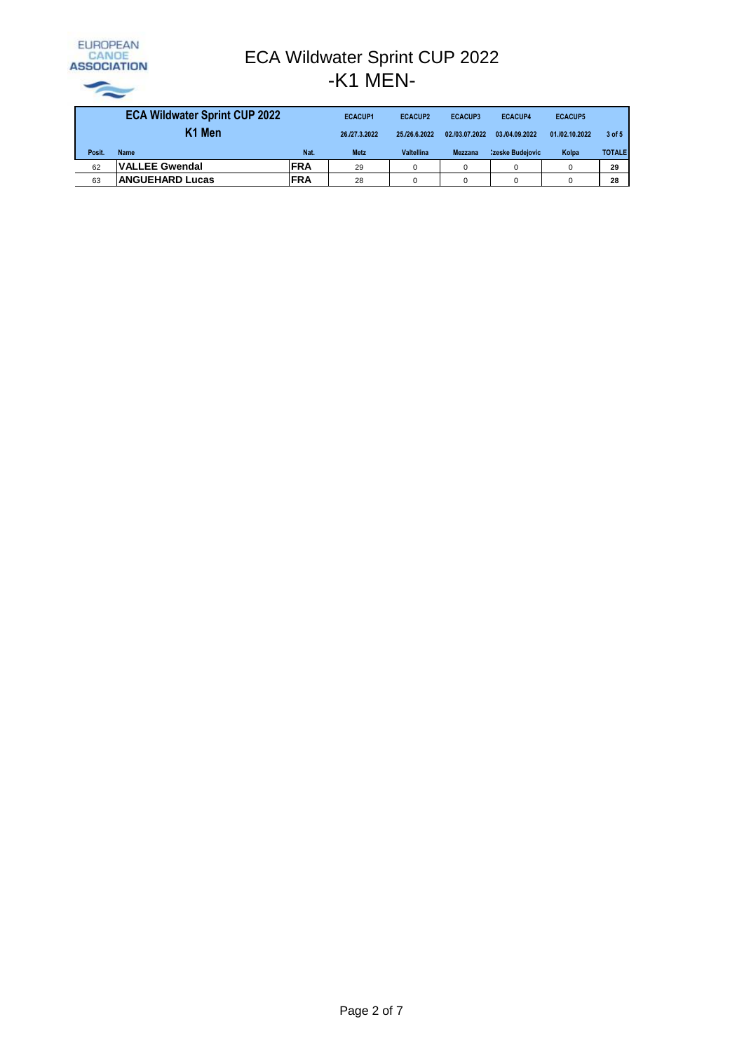

## ECA Wildwater Sprint CUP 2022 -K1 MEN-

|        | <b>ECA Wildwater Sprint CUP 2022</b> |            | <b>ECACUP1</b> | <b>ECACUP2</b>    | <b>ECACUP3</b> | <b>ECACUP4</b>         | <b>ECACUP5</b> |               |
|--------|--------------------------------------|------------|----------------|-------------------|----------------|------------------------|----------------|---------------|
|        | K1 Men                               |            | 26./27.3.2022  | 25./26.6.2022     | 02./03.07.2022 | 03./04.09.2022         | 01./02.10.2022 | $3$ of $5$    |
| Posit. |                                      |            |                |                   |                |                        |                |               |
|        | <b>Name</b>                          | Nat.       | <b>Metz</b>    | <b>Valtellina</b> | <b>Mezzana</b> | <b>Zeske Budejovic</b> | Kolpa          | <b>TOTALE</b> |
| 62     | <b>VALLEE Gwendal</b>                | <b>FRA</b> | 29             | 0                 |                | $\Omega$               |                | 29            |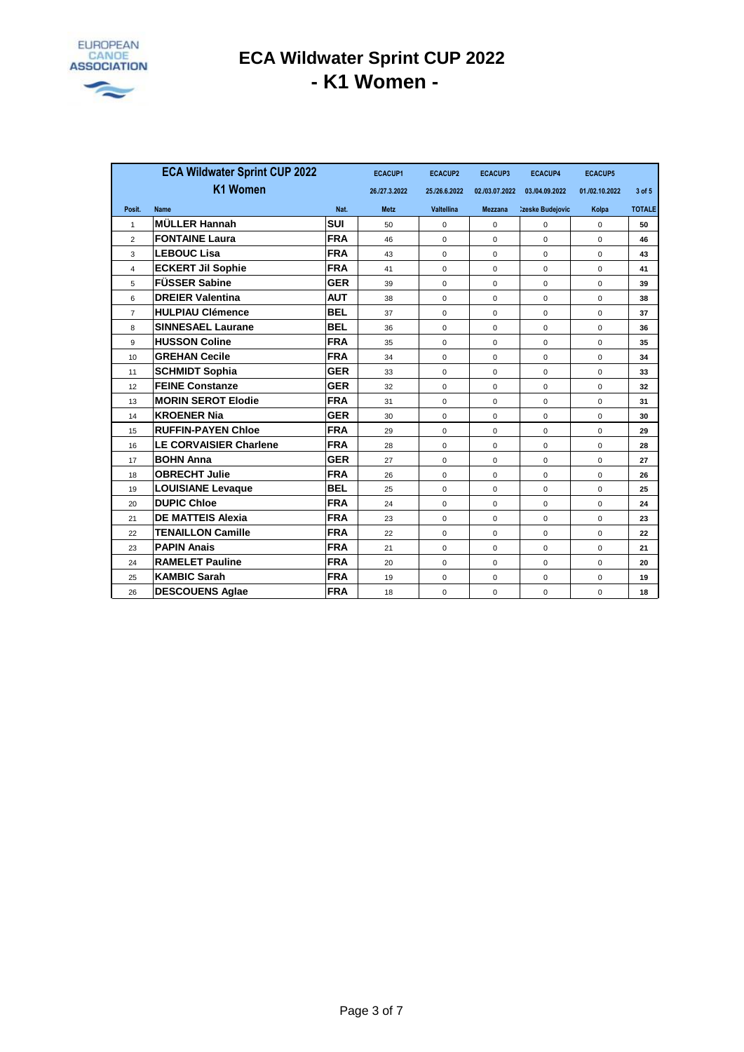

### **ECA Wildwater Sprint CUP 2022 - K1 Women -**

|                | <b>ECA Wildwater Sprint CUP 2022</b> |            | <b>ECACUP1</b> | <b>ECACUP2</b> | <b>ECACUP3</b> | <b>ECACUP4</b>         | <b>ECACUP5</b> |               |
|----------------|--------------------------------------|------------|----------------|----------------|----------------|------------------------|----------------|---------------|
|                | K1 Women                             |            | 26./27.3.2022  | 25./26.6.2022  | 02./03.07.2022 | 03./04.09.2022         | 01./02.10.2022 | $3$ of $5$    |
| Posit.         | <b>Name</b>                          | Nat.       | <b>Metz</b>    | Valtellina     | <b>Mezzana</b> | <b>Zeske Budejovic</b> | Kolpa          | <b>TOTALE</b> |
| 1              | <b>MÜLLER Hannah</b>                 | <b>SUI</b> | 50             | $\Omega$       | $\Omega$       | $\Omega$               | $\Omega$       | 50            |
| $\overline{2}$ | <b>FONTAINE Laura</b>                | <b>FRA</b> | 46             | $\mathbf 0$    | 0              | $\mathbf 0$            | $\mathbf 0$    | 46            |
| 3              | <b>LEBOUC Lisa</b>                   | <b>FRA</b> | 43             | $\mathbf 0$    | 0              | $\mathbf 0$            | $\mathbf 0$    | 43            |
| $\overline{4}$ | <b>ECKERT Jil Sophie</b>             | <b>FRA</b> | 41             | $\Omega$       | $\Omega$       | $\Omega$               | $\Omega$       | 41            |
| 5              | <b>FÜSSER Sabine</b>                 | <b>GER</b> | 39             | $\mathbf 0$    | 0              | $\mathbf 0$            | $\mathbf 0$    | 39            |
| 6              | <b>DREIER Valentina</b>              | <b>AUT</b> | 38             | $\mathbf 0$    | 0              | $\mathbf 0$            | $\Omega$       | 38            |
| $\overline{7}$ | <b>HULPIAU Clémence</b>              | <b>BEL</b> | 37             | $\mathbf 0$    | 0              | $\mathbf 0$            | $\mathbf 0$    | 37            |
| 8              | <b>SINNESAEL Laurane</b>             | <b>BEL</b> | 36             | $\mathbf 0$    | 0              | $\mathbf 0$            | $\mathbf 0$    | 36            |
| 9              | <b>HUSSON Coline</b>                 | <b>FRA</b> | 35             | $\Omega$       | $\Omega$       | $\Omega$               | $\Omega$       | 35            |
| 10             | <b>GREHAN Cecile</b>                 | <b>FRA</b> | 34             | $\Omega$       | 0              | $\Omega$               | $\Omega$       | 34            |
| 11             | <b>SCHMIDT Sophia</b>                | <b>GER</b> | 33             | $\mathbf 0$    | 0              | $\mathbf 0$            | $\mathbf 0$    | 33            |
| 12             | <b>FEINE Constanze</b>               | <b>GER</b> | 32             | $\mathbf 0$    | 0              | $\Omega$               | $\Omega$       | 32            |
| 13             | <b>MORIN SEROT Elodie</b>            | <b>FRA</b> | 31             | $\mathbf 0$    | 0              | $\mathbf 0$            | $\mathbf 0$    | 31            |
| 14             | <b>KROENER Nia</b>                   | <b>GER</b> | 30             | $\Omega$       | 0              | $\mathbf 0$            | $\Omega$       | 30            |
| 15             | <b>RUFFIN-PAYEN Chloe</b>            | <b>FRA</b> | 29             | $\mathbf 0$    | 0              | $\mathbf 0$            | $\mathbf 0$    | 29            |
| 16             | <b>LE CORVAISIER Charlene</b>        | <b>FRA</b> | 28             | $\mathbf 0$    | 0              | $\mathbf 0$            | $\mathbf 0$    | 28            |
| 17             | <b>BOHN Anna</b>                     | <b>GER</b> | 27             | $\Omega$       | 0              | $\Omega$               | $\Omega$       | 27            |
| 18             | <b>OBRECHT Julie</b>                 | <b>FRA</b> | 26             | $\mathbf 0$    | 0              | $\Omega$               | $\Omega$       | 26            |
| 19             | <b>LOUISIANE Levaque</b>             | <b>BEL</b> | 25             | $\mathbf 0$    | 0              | $\mathbf 0$            | $\mathbf 0$    | 25            |
| 20             | <b>DUPIC Chloe</b>                   | <b>FRA</b> | 24             | $\mathbf 0$    | 0              | $\Omega$               | $\mathbf 0$    | 24            |
| 21             | <b>DE MATTEIS Alexia</b>             | <b>FRA</b> | 23             | $\Omega$       | $\Omega$       | $\Omega$               | $\Omega$       | 23            |
| 22             | <b>TENAILLON Camille</b>             | <b>FRA</b> | 22             | $\mathbf 0$    | 0              | $\mathbf 0$            | $\mathbf 0$    | 22            |
| 23             | <b>PAPIN Anais</b>                   | <b>FRA</b> | 21             | $\mathbf 0$    | 0              | $\mathbf 0$            | $\mathbf 0$    | 21            |
| 24             | <b>RAMELET Pauline</b>               | <b>FRA</b> | 20             | $\mathbf 0$    | 0              | $\mathbf 0$            | $\mathbf 0$    | 20            |
| 25             | <b>KAMBIC Sarah</b>                  | <b>FRA</b> | 19             | $\Omega$       | 0              | $\mathbf 0$            | $\Omega$       | 19            |
| 26             | <b>DESCOUENS Aglae</b>               | <b>FRA</b> | 18             | $\mathbf 0$    | 0              | $\mathbf 0$            | $\mathbf 0$    | 18            |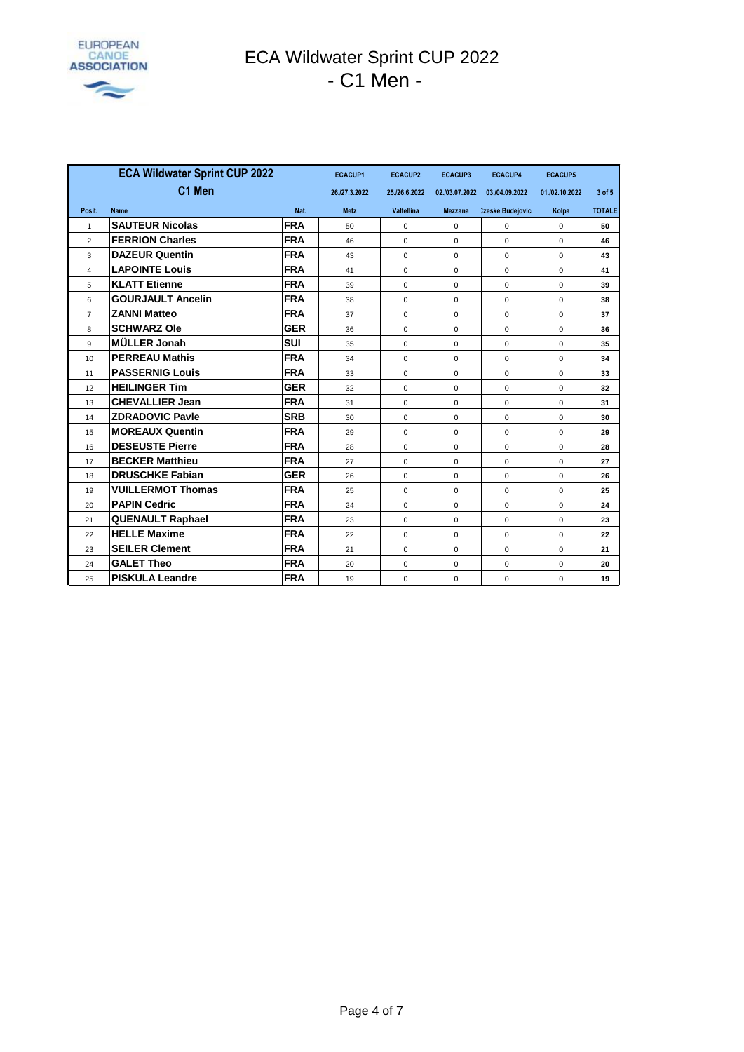

### ECA Wildwater Sprint CUP 2022 - C1 Men -

|                | <b>ECA Wildwater Sprint CUP 2022</b> |            | <b>ECACUP1</b> | <b>ECACUP2</b>    | <b>ECACUP3</b> | <b>ECACUP4</b>         | <b>ECACUP5</b> |               |
|----------------|--------------------------------------|------------|----------------|-------------------|----------------|------------------------|----------------|---------------|
|                | C1 Men                               |            | 26./27.3.2022  | 25./26.6.2022     | 02./03.07.2022 | 03./04.09.2022         | 01./02.10.2022 | $3$ of $5$    |
| Posit.         | <b>Name</b>                          | Nat.       | <b>Metz</b>    | <b>Valtellina</b> | <b>Mezzana</b> | <b>Zeske Budejovic</b> | Kolpa          | <b>TOTALE</b> |
| $\mathbf{1}$   | <b>SAUTEUR Nicolas</b>               | <b>FRA</b> | 50             | $\Omega$          | $\Omega$       | $\Omega$               | $\Omega$       | 50            |
| $\overline{2}$ | <b>FERRION Charles</b>               | <b>FRA</b> | 46             | $\mathbf 0$       | $\mathbf 0$    | $\Omega$               | $\Omega$       | 46            |
| 3              | <b>DAZEUR Quentin</b>                | <b>FRA</b> | 43             | $\mathbf 0$       | $\Omega$       | $\Omega$               | $\Omega$       | 43            |
| 4              | <b>LAPOINTE Louis</b>                | <b>FRA</b> | 41             | $\mathbf 0$       | $\Omega$       | $\Omega$               | $\Omega$       | 41            |
| 5              | <b>KLATT Etienne</b>                 | <b>FRA</b> | 39             | $\mathbf 0$       | $\Omega$       | $\Omega$               | $\Omega$       | 39            |
| 6              | <b>GOURJAULT Ancelin</b>             | <b>FRA</b> | 38             | $\mathbf 0$       | $\Omega$       | $\Omega$               | $\Omega$       | 38            |
| $\overline{7}$ | <b>ZANNI Matteo</b>                  | <b>FRA</b> | 37             | $\Omega$          | $\Omega$       | $\Omega$               | $\Omega$       | 37            |
| 8              | <b>SCHWARZ Ole</b>                   | <b>GER</b> | 36             | $\mathbf 0$       | $\Omega$       | $\Omega$               | $\Omega$       | 36            |
| 9              | <b>MÜLLER Jonah</b>                  | <b>SUI</b> | 35             | $\Omega$          | $\Omega$       | $\Omega$               | $\Omega$       | 35            |
| 10             | <b>PERREAU Mathis</b>                | <b>FRA</b> | 34             | $\mathbf 0$       | $\Omega$       | $\Omega$               | $\Omega$       | 34            |
| 11             | <b>PASSERNIG Louis</b>               | <b>FRA</b> | 33             | $\Omega$          | $\Omega$       | $\Omega$               | $\Omega$       | 33            |
| 12             | <b>HEILINGER Tim</b>                 | <b>GER</b> | 32             | $\mathbf 0$       | $\mathbf 0$    | $\Omega$               | $\Omega$       | 32            |
| 13             | <b>CHEVALLIER Jean</b>               | <b>FRA</b> | 31             | $\Omega$          | $\Omega$       | $\Omega$               | $\Omega$       | 31            |
| 14             | <b>ZDRADOVIC Pavle</b>               | <b>SRB</b> | 30             | $\mathbf 0$       | $\Omega$       | $\Omega$               | $\Omega$       | 30            |
| 15             | <b>MOREAUX Quentin</b>               | <b>FRA</b> | 29             | $\Omega$          | $\Omega$       | $\Omega$               | $\Omega$       | 29            |
| 16             | <b>DESEUSTE Pierre</b>               | <b>FRA</b> | 28             | $\mathbf 0$       | $\Omega$       | $\Omega$               | $\Omega$       | 28            |
| 17             | <b>BECKER Matthieu</b>               | <b>FRA</b> | 27             | $\mathbf 0$       | $\Omega$       | $\Omega$               | $\Omega$       | 27            |
| 18             | <b>DRUSCHKE Fabian</b>               | <b>GER</b> | 26             | $\Omega$          | $\Omega$       | $\Omega$               | $\Omega$       | 26            |
| 19             | <b>VUILLERMOT Thomas</b>             | <b>FRA</b> | 25             | $\mathbf 0$       | $\Omega$       | $\Omega$               | $\Omega$       | 25            |
| 20             | <b>PAPIN Cedric</b>                  | <b>FRA</b> | 24             | $\Omega$          | $\Omega$       | $\Omega$               | $\Omega$       | 24            |
| 21             | <b>QUENAULT Raphael</b>              | <b>FRA</b> | 23             | $\mathbf 0$       | $\mathbf 0$    | $\mathbf 0$            | $\Omega$       | 23            |
| 22             | <b>HELLE Maxime</b>                  | <b>FRA</b> | 22             | $\Omega$          | $\Omega$       | $\Omega$               | $\Omega$       | 22            |
| 23             | <b>SEILER Clement</b>                | <b>FRA</b> | 21             | $\mathbf 0$       | $\Omega$       | $\Omega$               | $\Omega$       | 21            |
| 24             | <b>GALET Theo</b>                    | <b>FRA</b> | 20             | $\Omega$          | $\Omega$       | $\Omega$               | $\Omega$       | 20            |
| 25             | <b>PISKULA Leandre</b>               | <b>FRA</b> | 19             | $\mathbf 0$       | $\Omega$       | $\Omega$               | $\Omega$       | 19            |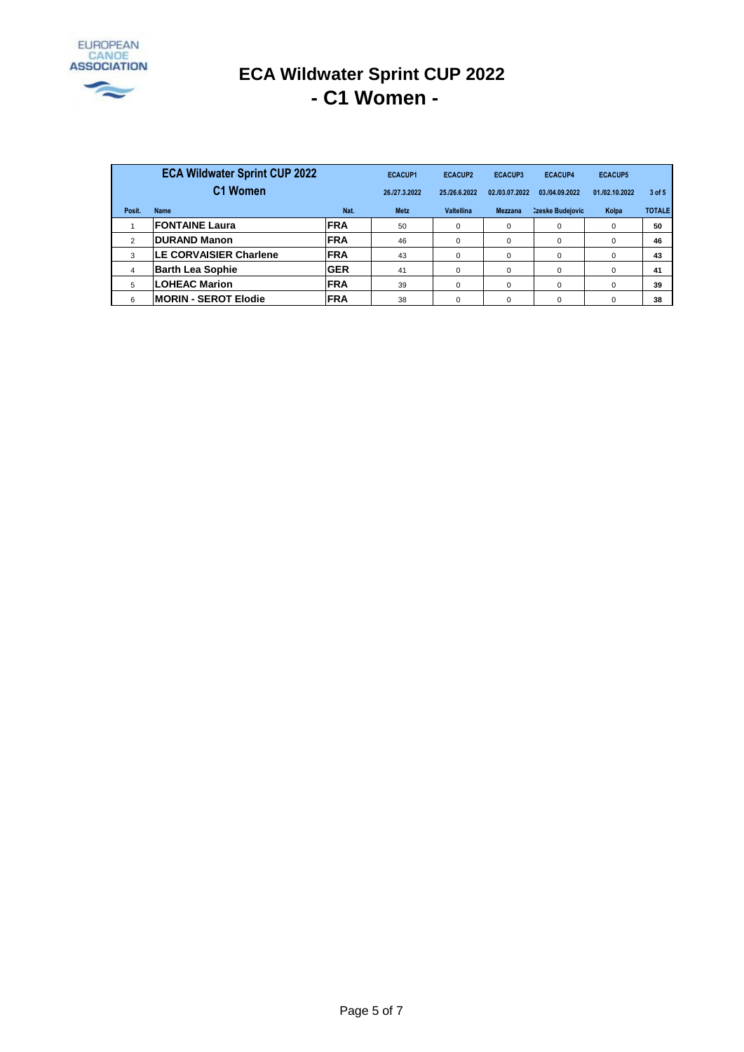

# **ECA Wildwater Sprint CUP 2022 - C1 Women -**

|                | <b>ECA Wildwater Sprint CUP 2022</b> |            | <b>ECACUP1</b> | <b>ECACUP2</b>    | ECACUP3        | <b>ECACUP4</b>         | <b>ECACUP5</b> |               |
|----------------|--------------------------------------|------------|----------------|-------------------|----------------|------------------------|----------------|---------------|
|                | C1 Women                             |            | 26./27.3.2022  | 25./26.6.2022     | 02./03.07.2022 | 03./04.09.2022         | 01./02.10.2022 | $3$ of $5$    |
| Posit.         | Name                                 | Nat.       | <b>Metz</b>    | <b>Valtellina</b> | <b>Mezzana</b> | <b>Zeske Budejovic</b> | Kolpa          | <b>TOTALE</b> |
|                | <b>FONTAINE Laura</b>                | <b>FRA</b> | 50             | 0                 | 0              | $\mathbf 0$            | 0              | 50            |
| $\overline{2}$ | <b>DURAND Manon</b>                  | <b>FRA</b> | 46             | 0                 | $\Omega$       | $\mathbf 0$            | $\Omega$       | 46            |
| 3              | <b>LE CORVAISIER Charlene</b>        | <b>FRA</b> | 43             | 0                 | $\Omega$       | $\mathbf 0$            | $\Omega$       | 43            |
| $\overline{4}$ | <b>Barth Lea Sophie</b>              | <b>GER</b> | 41             | 0                 | $\Omega$       | $\mathbf 0$            | $\Omega$       | 41            |
| 5              | <b>LOHEAC Marion</b>                 | <b>FRA</b> | 39             | $\Omega$          | $\Omega$       | $\Omega$               | $\Omega$       | 39            |
| 6              | <b>MORIN - SEROT Elodie</b>          | <b>FRA</b> | 38             | 0                 | $\Omega$       | 0                      |                | 38            |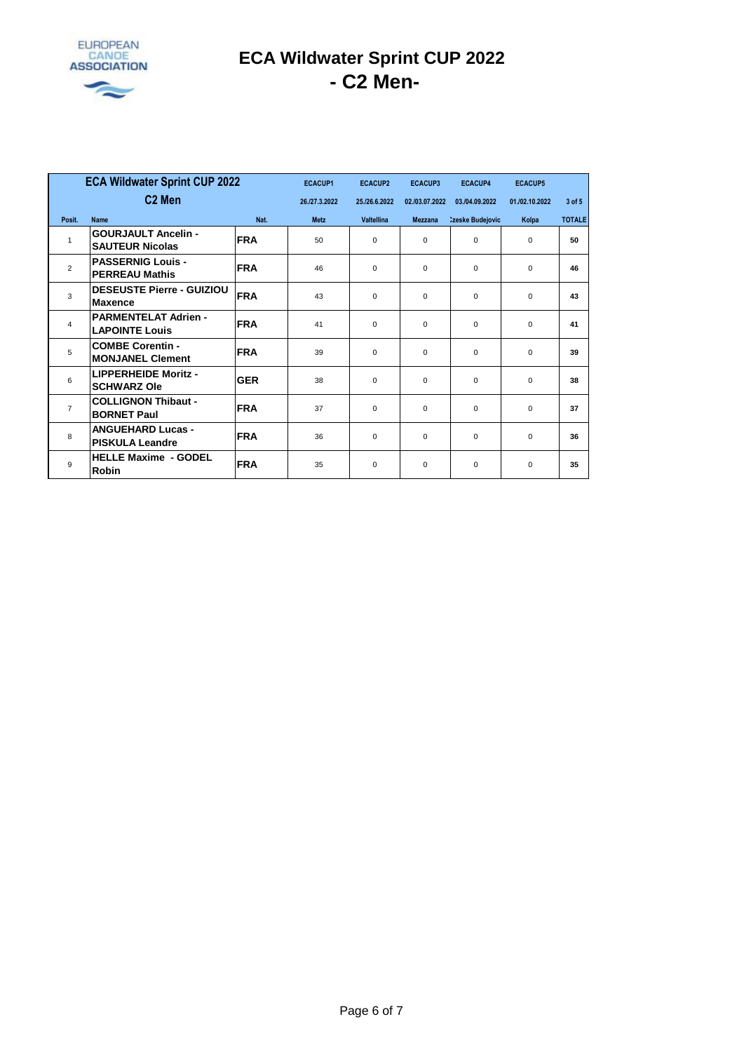

### **ECA Wildwater Sprint CUP 2022 - C2 Men-**

|                | <b>ECA Wildwater Sprint CUP 2022</b>                 |            | <b>ECACUP1</b> | <b>ECACUP2</b>    | <b>ECACUP3</b> | <b>ECACUP4</b>   | <b>ECACUP5</b> |               |
|----------------|------------------------------------------------------|------------|----------------|-------------------|----------------|------------------|----------------|---------------|
|                | C <sub>2</sub> Men                                   |            | 26./27.3.2022  | 25./26.6.2022     | 02./03.07.2022 | 03./04.09.2022   | 01./02.10.2022 | 3 of 5        |
| Posit.         | Name                                                 | Nat.       | <b>Metz</b>    | <b>Valtellina</b> | <b>Mezzana</b> | :zeske Budejovic | Kolpa          | <b>TOTALE</b> |
| $\mathbf{1}$   | <b>GOURJAULT Ancelin -</b><br><b>SAUTEUR Nicolas</b> | <b>FRA</b> | 50             | $\Omega$          | $\Omega$       | $\Omega$         | $\Omega$       | 50            |
| $\overline{2}$ | <b>PASSERNIG Louis -</b><br><b>PERREAU Mathis</b>    | <b>FRA</b> | 46             | $\Omega$          | $\Omega$       | $\Omega$         | $\Omega$       | 46            |
| 3              | <b>DESEUSTE Pierre - GUIZIOU</b><br><b>Maxence</b>   | <b>FRA</b> | 43             | $\Omega$          | $\mathbf 0$    | $\Omega$         | $\Omega$       | 43            |
| 4              | <b>PARMENTELAT Adrien -</b><br><b>LAPOINTE Louis</b> | <b>FRA</b> | 41             | $\Omega$          | $\Omega$       | $\Omega$         | $\Omega$       | 41            |
| 5              | <b>COMBE Corentin -</b><br><b>MONJANEL Clement</b>   | <b>FRA</b> | 39             | $\Omega$          | $\mathbf 0$    | $\mathbf 0$      | $\Omega$       | 39            |
| 6              | <b>LIPPERHEIDE Moritz -</b><br><b>SCHWARZ Ole</b>    | <b>GER</b> | 38             | $\mathbf 0$       | 0              | $\mathbf 0$      | $\Omega$       | 38            |
| $\overline{7}$ | <b>COLLIGNON Thibaut -</b><br><b>BORNET Paul</b>     | <b>FRA</b> | 37             | $\Omega$          | $\mathbf 0$    | $\mathbf 0$      | $\Omega$       | 37            |
| 8              | <b>ANGUEHARD Lucas -</b><br><b>PISKULA Leandre</b>   | <b>FRA</b> | 36             | $\Omega$          | $\mathbf 0$    | $\mathbf 0$      | $\Omega$       | 36            |
| 9              | <b>HELLE Maxime - GODEL</b><br><b>Robin</b>          | <b>FRA</b> | 35             | $\mathbf 0$       | $\mathbf 0$    | $\mathbf 0$      | $\Omega$       | 35            |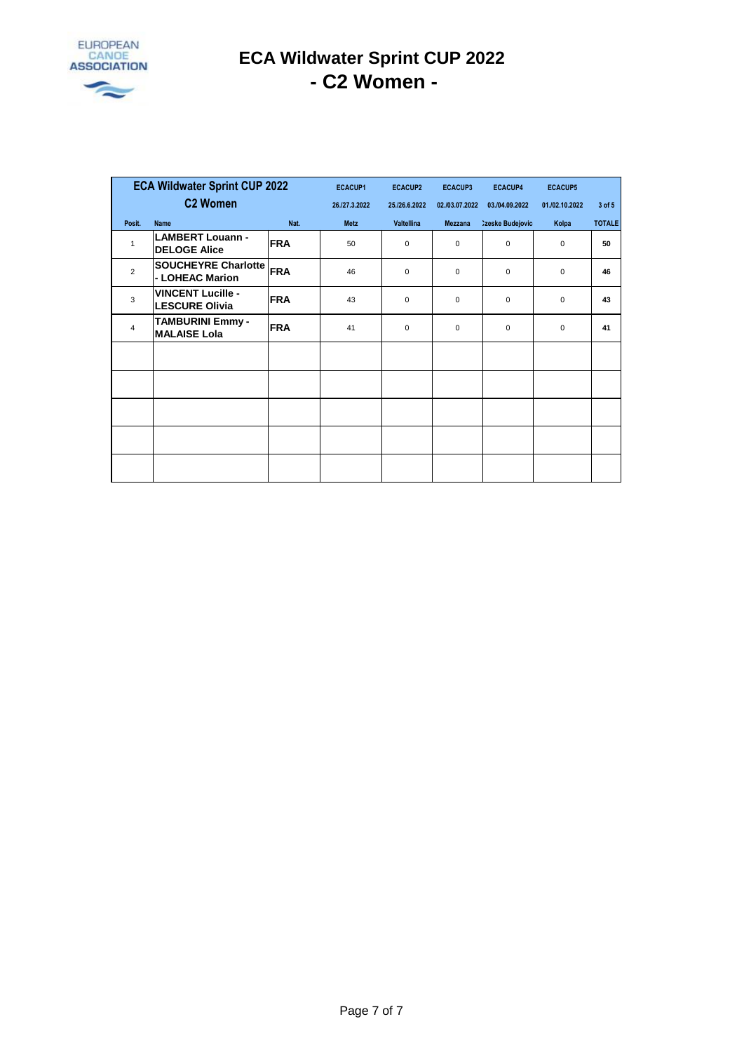

### **ECA Wildwater Sprint CUP 2022 - C2 Women -**

|                | <b>ECA Wildwater Sprint CUP 2022</b>              |            | <b>ECACUP1</b> | <b>ECACUP2</b> | <b>ECACUP3</b> | <b>ECACUP4</b>         | <b>ECACUP5</b> |               |
|----------------|---------------------------------------------------|------------|----------------|----------------|----------------|------------------------|----------------|---------------|
|                | <b>C2 Women</b>                                   |            | 26./27.3.2022  | 25./26.6.2022  | 02./03.07.2022 | 03./04.09.2022         | 01./02.10.2022 | $3$ of $5$    |
| Posit.         | <b>Name</b>                                       | Nat.       | <b>Metz</b>    | Valtellina     | <b>Mezzana</b> | <b>Zeske Budejovic</b> | Kolpa          | <b>TOTALE</b> |
| $\mathbf{1}$   | <b>LAMBERT Louann -</b><br><b>DELOGE Alice</b>    | <b>FRA</b> | 50             | 0              | 0              | $\mathbf 0$            | $\mathbf 0$    | 50            |
| 2              | <b>SOUCHEYRE Charlotte</b><br>- LOHEAC Marion     | <b>FRA</b> | 46             | 0              | 0              | $\mathbf 0$            | 0              | 46            |
| 3              | <b>VINCENT Lucille -</b><br><b>LESCURE Olivia</b> | <b>FRA</b> | 43             | 0              | 0              | $\mathbf 0$            | 0              | 43            |
| $\overline{4}$ | <b>TAMBURINI Emmy-</b><br><b>MALAISE Lola</b>     | <b>FRA</b> | 41             | $\Omega$       | $\Omega$       | $\mathbf 0$            | 0              | 41            |
|                |                                                   |            |                |                |                |                        |                |               |
|                |                                                   |            |                |                |                |                        |                |               |
|                |                                                   |            |                |                |                |                        |                |               |
|                |                                                   |            |                |                |                |                        |                |               |
|                |                                                   |            |                |                |                |                        |                |               |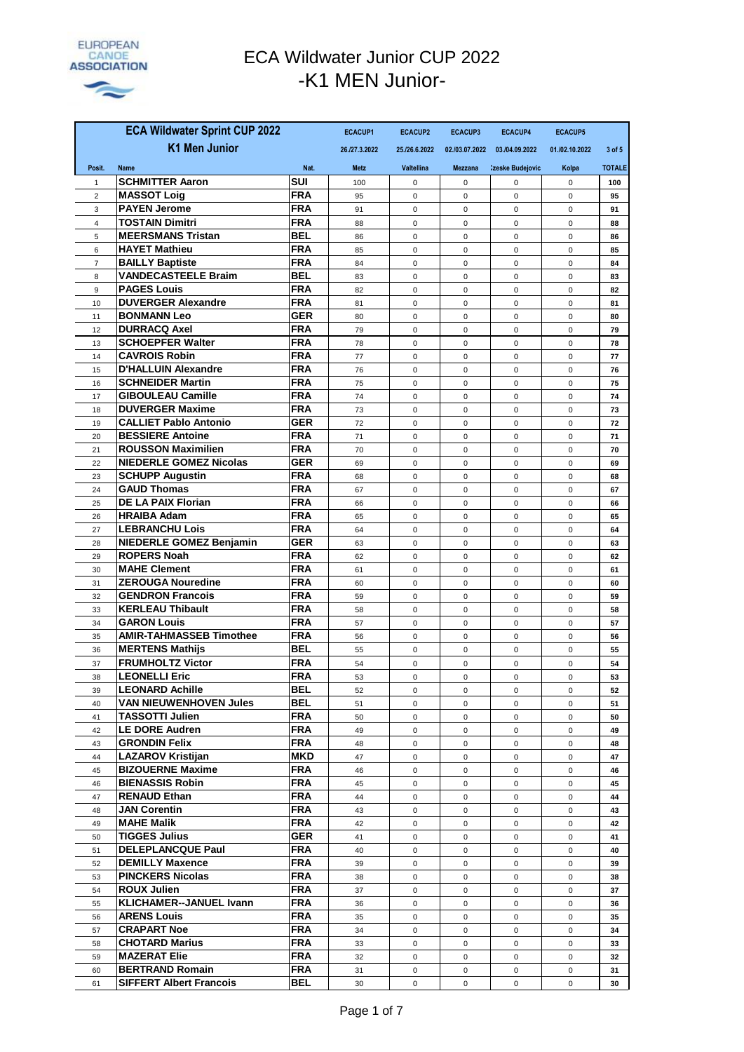

## ECA Wildwater Junior CUP 2022 -K1 MEN Junior-

|                | <b>ECA Wildwater Sprint CUP 2022</b>                     |                          | <b>ECACUP1</b> | <b>ECACUP2</b>    | <b>ECACUP3</b>             | <b>ECACUP4</b>             | <b>ECACUP5</b>               |               |
|----------------|----------------------------------------------------------|--------------------------|----------------|-------------------|----------------------------|----------------------------|------------------------------|---------------|
|                | <b>K1 Men Junior</b>                                     |                          | 26./27.3.2022  | 25./26.6.2022     | 02./03.07.2022             | 03./04.09.2022             | 01./02.10.2022               | $3$ of $5$    |
| Posit.         | <b>Name</b>                                              | Nat.                     | Metz           | <b>Valtellina</b> | <b>Mezzana</b>             | <b>Zeske Budejovic</b>     | Kolpa                        | <b>TOTALE</b> |
| $\mathbf{1}$   | <b>SCHMITTER Aaron</b>                                   | <b>SUI</b>               | 100            | 0                 | $\mathbf 0$                | $\mathbf 0$                | 0                            | 100           |
| $\overline{2}$ | <b>MASSOT Loig</b>                                       | <b>FRA</b>               | 95             | 0                 | $\mathbf 0$                | $\mathbf 0$                | $\mathbf 0$                  | 95            |
| 3              | <b>PAYEN Jerome</b>                                      | <b>FRA</b>               | 91             | 0                 | $\mathbf 0$                | $\mathbf 0$                | 0                            | 91            |
| 4              | <b>TOSTAIN Dimitri</b>                                   | <b>FRA</b>               | 88             | $\mathbf 0$       | $\mathbf 0$                | $\mathbf 0$                | $\mathbf 0$                  | 88            |
| 5              | <b>MEERSMANS Tristan</b>                                 | <b>BEL</b>               | 86             | 0                 | 0                          | $\mathbf 0$                | $\mathbf 0$                  | 86            |
| 6              | <b>HAYET Mathieu</b>                                     | <b>FRA</b>               | 85             | 0                 | $\mathbf 0$                | $\mathbf 0$                | $\mathbf 0$                  | 85            |
| $\overline{7}$ | <b>BAILLY Baptiste</b>                                   | <b>FRA</b>               | 84             | 0                 | $\mathbf 0$                | 0                          | 0                            | 84            |
| 8              | <b>VANDECASTEELE Braim</b>                               | BEL                      | 83             | 0                 | 0                          | $\mathbf 0$                | $\mathbf 0$                  | 83            |
| 9              | <b>PAGES Louis</b>                                       | <b>FRA</b>               | 82             | 0                 | $\mathbf 0$                | $\mathbf 0$                | $\mathbf 0$                  | 82            |
| 10             | <b>DUVERGER Alexandre</b>                                | <b>FRA</b>               | 81             | $\mathbf 0$       | $\mathbf 0$                | $\mathbf 0$                | $\mathbf 0$                  | 81            |
| 11             | <b>BONMANN Leo</b>                                       | <b>GER</b>               | 80             | 0                 | $\mathbf 0$                | $\mathbf 0$                | $\mathbf 0$                  | 80            |
| 12             | <b>DURRACQ Axel</b>                                      | <b>FRA</b>               | 79             | 0                 | $\mathbf 0$                | $\mathbf 0$                | 0                            | 79            |
| 13             | <b>SCHOEPFER Walter</b>                                  | <b>FRA</b>               | 78             | 0                 | 0                          | $\mathbf 0$                | $\mathbf 0$                  | 78            |
| 14             | <b>CAVROIS Robin</b>                                     | <b>FRA</b>               | 77             | 0                 | $\mathbf 0$                | $\mathbf 0$                | 0                            | 77            |
| 15             | <b>D'HALLUIN Alexandre</b>                               | <b>FRA</b>               | 76             | 0                 | $\pmb{0}$                  | $\mathbf 0$                | $\mathbf 0$                  | 76            |
| 16             | <b>SCHNEIDER Martin</b>                                  | <b>FRA</b>               | 75             | 0                 | $\mathbf 0$                | $\mathbf 0$                | $\mathbf 0$                  | 75            |
| 17             | <b>GIBOULEAU Camille</b>                                 | <b>FRA</b>               | 74             | 0                 | 0                          | $\mathbf 0$                | $\mathbf 0$                  | 74            |
| 18             | <b>DUVERGER Maxime</b>                                   | <b>FRA</b>               | 73             | 0                 | $\mathbf 0$                | $\mathbf 0$                | $\mathbf 0$                  | 73            |
| 19             | <b>CALLIET Pablo Antonio</b><br><b>BESSIERE Antoine</b>  | GER<br><b>FRA</b>        | 72             | 0                 | $\mathbf 0$                | $\mathbf 0$                | 0                            | 72            |
| 20             | <b>ROUSSON Maximilien</b>                                | <b>FRA</b>               | 71             | $\mathbf 0$       | $\mathbf 0$                | $\mathbf 0$                | $\mathbf 0$                  | 71            |
| 21<br>22       | <b>NIEDERLE GOMEZ Nicolas</b>                            | <b>GER</b>               | 70<br>69       | 0<br>0            | $\mathbf 0$<br>0           | $\mathbf 0$<br>$\mathbf 0$ | 0<br>$\mathbf 0$             | 70<br>69      |
| 23             | <b>SCHUPP Augustin</b>                                   | <b>FRA</b>               | 68             | 0                 | 0                          | $\mathbf 0$                | 0                            | 68            |
| 24             | <b>GAUD Thomas</b>                                       | <b>FRA</b>               | 67             | 0                 | 0                          | $\mathbf 0$                | $\mathbf 0$                  | 67            |
| 25             | <b>DE LA PAIX Florian</b>                                | <b>FRA</b>               | 66             | 0                 | 0                          | $\mathbf 0$                | $\mathbf 0$                  | 66            |
| 26             | <b>HRAIBA Adam</b>                                       | <b>FRA</b>               | 65             | 0                 | $\mathbf 0$                | $\mathbf 0$                | $\mathbf 0$                  | 65            |
| 27             | <b>LEBRANCHU Lois</b>                                    | <b>FRA</b>               | 64             | $\mathbf 0$       | 0                          | $\mathbf 0$                | $\mathbf 0$                  | 64            |
| 28             | <b>NIEDERLE GOMEZ Benjamin</b>                           | GER                      | 63             | 0                 | $\mathbf 0$                | $\mathbf 0$                | 0                            | 63            |
| 29             | <b>ROPERS Noah</b>                                       | <b>FRA</b>               | 62             | 0                 | $\mathbf 0$                | $\mathbf 0$                | $\mathbf 0$                  | 62            |
| 30             | <b>MAHE Clement</b>                                      | <b>FRA</b>               | 61             | 0                 | $\mathbf 0$                | $\mathbf 0$                | 0                            | 61            |
| 31             | <b>ZEROUGA Nouredine</b>                                 | <b>FRA</b>               | 60             | 0                 | $\mathbf 0$                | $\mathbf 0$                | 0                            | 60            |
| 32             | <b>GENDRON Francois</b>                                  | <b>FRA</b>               | 59             | 0                 | $\mathbf 0$                | $\mathbf 0$                | $\mathbf 0$                  | 59            |
| 33             | <b>KERLEAU Thibault</b>                                  | <b>FRA</b>               | 58             | 0                 | 0                          | $\mathbf 0$                | $\mathbf 0$                  | 58            |
| 34             | <b>GARON Louis</b>                                       | <b>FRA</b>               | 57             | $\mathbf 0$       | $\mathbf 0$                | $\mathbf 0$                | $\mathbf 0$                  | 57            |
| 35             | <b>AMIR-TAHMASSEB Timothee</b>                           | <b>FRA</b>               | 56             | 0                 | $\mathbf 0$                | $\mathbf 0$                | 0                            | 56            |
| 36             | <b>MERTENS Mathijs</b>                                   | BEL                      | 55             | $\mathbf 0$       | $\mathbf 0$                | $\mathbf 0$                | $\mathbf 0$                  | 55            |
| 37             | <b>FRUMHOLTZ Victor</b>                                  | <b>FRA</b>               | 54             | 0                 | $\mathbf 0$                | $\mathbf 0$                | 0                            | 54            |
| 38             | <b>LEONELLI Eric</b>                                     | <b>FRA</b>               | 53             | 0                 | $\mathbf 0$                | $\mathbf 0$                | $\mathbf 0$                  | 53            |
| 39             | <b>LEONARD Achille</b>                                   | BEL                      | 52             | 0                 | 0                          | 0                          | 0                            | 52            |
| 40             | <b>VAN NIEUWENHOVEN Jules</b>                            | BEL<br><b>FRA</b>        | 51             | 0                 | 0                          | $\mathbf 0$                | 0                            | 51            |
| 41             | <b>TASSOTTI Julien</b><br><b>LE DORE Audren</b>          | <b>FRA</b>               | 50             | 0                 | $\mathbf 0$                | $\mathbf 0$                | 0                            | 50            |
| 42<br>43       | <b>GRONDIN Felix</b>                                     | <b>FRA</b>               | 49<br>48       | 0<br>0            | $\mathbf 0$<br>$\mathbf 0$ | $\mathbf{0}$<br>0          | $\mathsf{O}$<br>$\mathsf{O}$ | 49<br>48      |
| 44             | <b>LAZAROV Kristijan</b>                                 | MKD                      | 47             | 0                 | $\mathbf 0$                | $\mathbf{0}$               | 0                            | 47            |
| 45             | <b>BIZOUERNE Maxime</b>                                  | FRA                      | 46             | 0                 | 0                          | 0                          | 0                            | 46            |
| 46             | <b>BIENASSIS Robin</b>                                   | <b>FRA</b>               | 45             | 0                 | $\mathbf 0$                | $\mathbf{0}$               | $\mathbf 0$                  | 45            |
| 47             | <b>RENAUD Ethan</b>                                      | <b>FRA</b>               | 44             | 0                 | $\mathbf 0$                | $\mathbf 0$                | 0                            | 44            |
| 48             | <b>JAN Corentin</b>                                      | <b>FRA</b>               | 43             | 0                 | $\mathbf 0$                | $\mathbf 0$                | 0                            | 43            |
| 49             | <b>MAHE Malik</b>                                        | FRA                      | 42             | 0                 | $\mathbf 0$                | $\mathbf 0$                | 0                            | 42            |
| 50             | <b>TIGGES Julius</b>                                     | <b>GER</b>               | 41             | 0                 | $\mathbf 0$                | $\mathbf 0$                | 0                            | 41            |
| 51             | <b>DELEPLANCQUE Paul</b>                                 | <b>FRA</b>               | 40             | 0                 | 0                          | $\mathbf 0$                | 0                            | 40            |
| 52             | <b>DEMILLY Maxence</b>                                   | <b>FRA</b>               | 39             | 0                 | 0                          | $\mathbf 0$                | $\mathsf{O}$                 | 39            |
| 53             | <b>PINCKERS Nicolas</b>                                  | <b>FRA</b>               | 38             | 0                 | 0                          | $\mathbf 0$                | 0                            | 38            |
| 54             | <b>ROUX Julien</b>                                       | <b>FRA</b>               | 37             | 0                 | 0                          | 0                          | $\mathsf{O}$                 | 37            |
| 55             | KLICHAMER--JANUEL Ivann                                  | <b>FRA</b>               | 36             | 0                 | 0                          | $\mathbf{0}$               | $\mathbf 0$                  | 36            |
| 56             | <b>ARENS Louis</b>                                       | <b>FRA</b>               | 35             | 0                 | 0                          | $\mathbf 0$                | $\mathsf{O}$                 | 35            |
| 57             | <b>CRAPART Noe</b>                                       | FRA                      | 34             | 0                 | 0                          | $\mathbf 0$                | 0                            | 34            |
| 58             | <b>CHOTARD Marius</b>                                    | FRA                      | 33             | 0                 | 0                          | $\mathbf 0$                | 0                            | 33            |
| 59             | <b>MAZERAT Elie</b>                                      | <b>FRA</b>               | 32             | 0                 | 0                          | $\mathbf{0}$               | 0                            | 32            |
| 60             | <b>BERTRAND Romain</b><br><b>SIFFERT Albert Francois</b> | <b>FRA</b><br><b>BEL</b> | 31             | 0                 | 0                          | $\mathbf{0}$               | 0                            | 31            |
| 61             |                                                          |                          | 30             | 0                 | 0                          | 0                          | 0                            | 30            |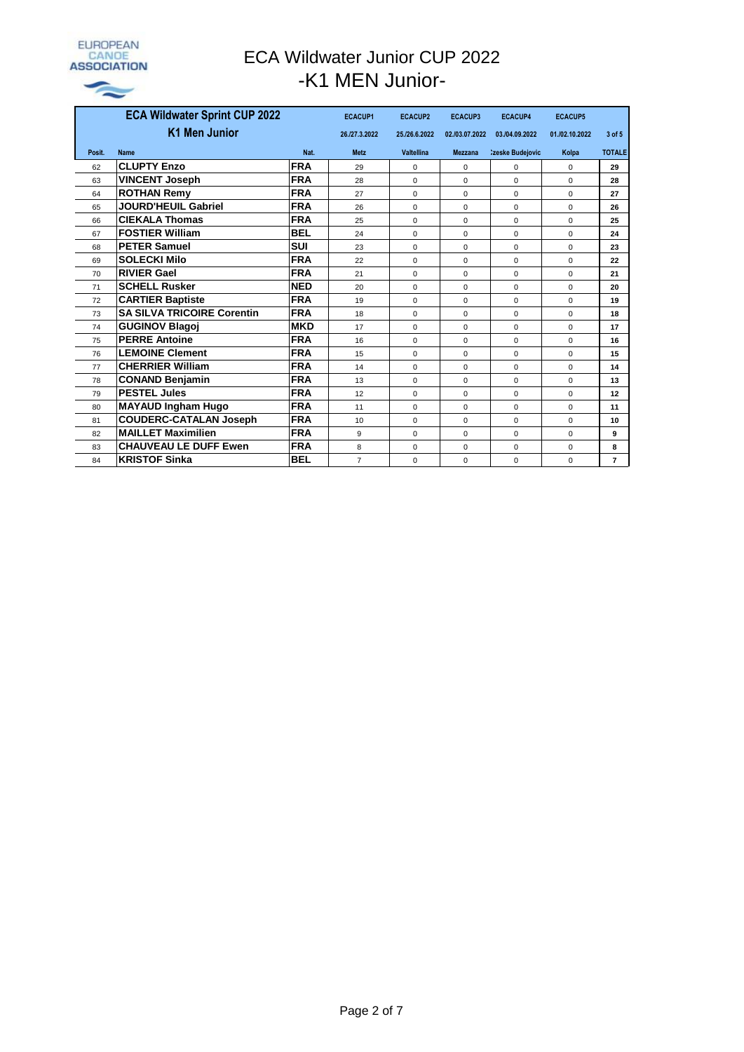#### EUROPEAN **CANDE**<br>ASSOCIATION  $\rightarrow$

## ECA Wildwater Junior CUP 2022 -K1 MEN Junior-

|        | <b>ECA Wildwater Sprint CUP 2022</b> |            | <b>ECACUP1</b> | <b>ECACUP2</b>    | <b>ECACUP3</b> | <b>ECACUP4</b>         | <b>ECACUP5</b> |                |
|--------|--------------------------------------|------------|----------------|-------------------|----------------|------------------------|----------------|----------------|
|        | <b>K1 Men Junior</b>                 |            | 26./27.3.2022  | 25./26.6.2022     | 02./03.07.2022 | 03./04.09.2022         | 01./02.10.2022 | $3$ of $5$     |
| Posit. | Name                                 | Nat.       | <b>Metz</b>    | <b>Valtellina</b> | <b>Mezzana</b> | <b>Zeske Budejovic</b> | Kolpa          | <b>TOTALE</b>  |
| 62     | <b>CLUPTY Enzo</b>                   | <b>FRA</b> | 29             | $\Omega$          | $\Omega$       | $\Omega$               | $\Omega$       | 29             |
| 63     | <b>VINCENT Joseph</b>                | <b>FRA</b> | 28             | $\Omega$          | $\Omega$       | $\Omega$               | $\Omega$       | 28             |
| 64     | <b>ROTHAN Remv</b>                   | <b>FRA</b> | 27             | $\mathbf 0$       | $\mathbf 0$    | $\Omega$               | $\Omega$       | 27             |
| 65     | JOURD'HEUIL Gabriel                  | <b>FRA</b> | 26             | $\mathbf 0$       | $\mathbf 0$    | $\mathbf 0$            | 0              | 26             |
| 66     | <b>CIEKALA Thomas</b>                | <b>FRA</b> | 25             | $\Omega$          | $\Omega$       | $\Omega$               | $\Omega$       | 25             |
| 67     | <b>FOSTIER William</b>               | <b>BEL</b> | 24             | $\Omega$          | $\Omega$       | $\Omega$               | $\Omega$       | 24             |
| 68     | <b>PETER Samuel</b>                  | <b>SUI</b> | 23             | $\Omega$          | $\Omega$       | $\Omega$               | $\Omega$       | 23             |
| 69     | <b>SOLECKI Milo</b>                  | <b>FRA</b> | 22             | $\mathbf 0$       | $\Omega$       | $\Omega$               | $\Omega$       | 22             |
| 70     | <b>RIVIER Gael</b>                   | <b>FRA</b> | 21             | $\mathbf 0$       | $\Omega$       | $\Omega$               | $\Omega$       | 21             |
| 71     | <b>SCHELL Rusker</b>                 | <b>NED</b> | 20             | $\mathbf 0$       | $\Omega$       | $\Omega$               | $\Omega$       | 20             |
| 72     | <b>CARTIER Baptiste</b>              | <b>FRA</b> | 19             | $\Omega$          | $\Omega$       | $\Omega$               | $\Omega$       | 19             |
| 73     | <b>SA SILVA TRICOIRE Corentin</b>    | <b>FRA</b> | 18             | $\Omega$          | $\Omega$       | $\Omega$               | $\Omega$       | 18             |
| 74     | <b>GUGINOV Blagoj</b>                | <b>MKD</b> | 17             | $\Omega$          | $\Omega$       | $\Omega$               | $\Omega$       | 17             |
| 75     | <b>PERRE Antoine</b>                 | <b>FRA</b> | 16             | $\Omega$          | $\Omega$       | $\Omega$               | $\Omega$       | 16             |
| 76     | <b>LEMOINE Clement</b>               | <b>FRA</b> | 15             | $\Omega$          | $\Omega$       | $\Omega$               | $\Omega$       | 15             |
| 77     | <b>CHERRIER William</b>              | <b>FRA</b> | 14             | $\Omega$          | $\Omega$       | $\Omega$               | $\Omega$       | 14             |
| 78     | <b>CONAND Benjamin</b>               | <b>FRA</b> | 13             | $\Omega$          | $\Omega$       | $\Omega$               | $\Omega$       | 13             |
| 79     | <b>PESTEL Jules</b>                  | <b>FRA</b> | 12             | $\Omega$          | $\Omega$       | $\Omega$               | $\Omega$       | 12             |
| 80     | <b>MAYAUD Ingham Hugo</b>            | <b>FRA</b> | 11             | $\mathbf 0$       | $\mathbf 0$    | $\Omega$               | $\Omega$       | 11             |
| 81     | <b>COUDERC-CATALAN Joseph</b>        | <b>FRA</b> | 10             | $\mathbf 0$       | $\Omega$       | $\Omega$               | $\Omega$       | 10             |
| 82     | <b>MAILLET Maximilien</b>            | <b>FRA</b> | 9              | $\mathbf 0$       | $\Omega$       | $\Omega$               | $\Omega$       | 9              |
| 83     | <b>CHAUVEAU LE DUFF Ewen</b>         | <b>FRA</b> | 8              | $\mathbf 0$       | $\Omega$       | $\Omega$               | $\Omega$       | 8              |
| 84     | <b>KRISTOF Sinka</b>                 | <b>BEL</b> | $\overline{7}$ | $\mathbf 0$       | 0              | 0                      | $\Omega$       | $\overline{7}$ |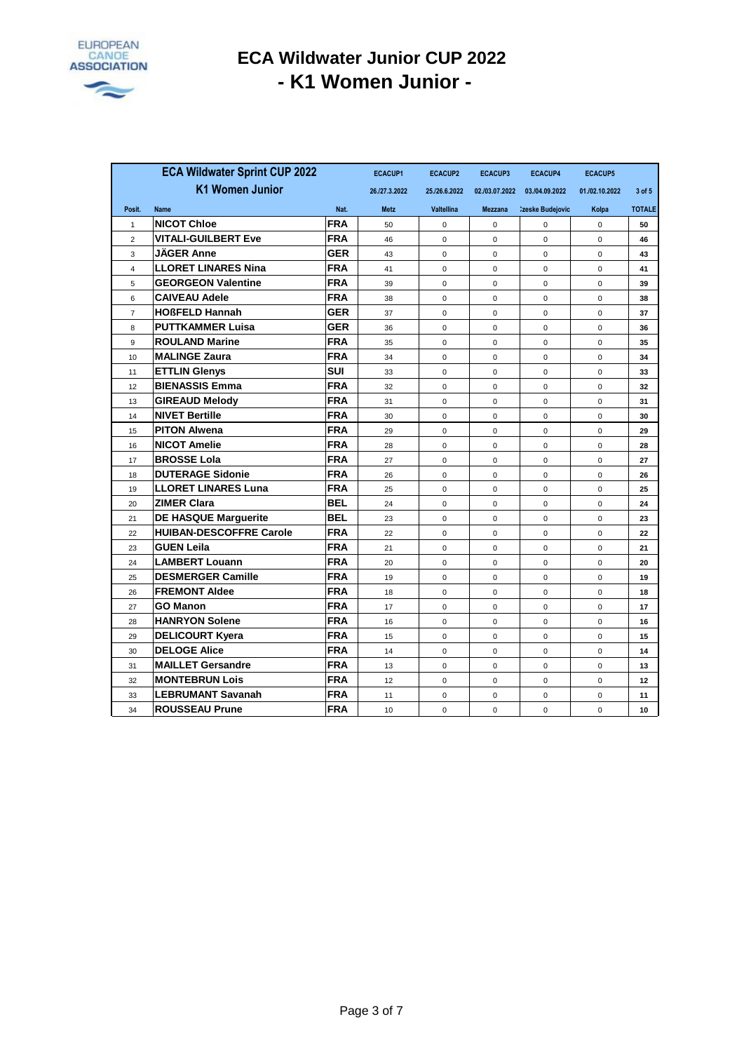

# **ECA Wildwater Junior CUP 2022 - K1 Women Junior -**

|                | <b>ECA Wildwater Sprint CUP 2022</b> |            | <b>ECACUP1</b> | <b>ECACUP2</b>    | <b>ECACUP3</b> | <b>ECACUP4</b>                | <b>ECACUP5</b> |               |
|----------------|--------------------------------------|------------|----------------|-------------------|----------------|-------------------------------|----------------|---------------|
|                | <b>K1 Women Junior</b>               |            | 26./27.3.2022  | 25./26.6.2022     |                | 02./03.07.2022 03./04.09.2022 | 01./02.10.2022 | $3$ of $5$    |
| Posit.         | <b>Name</b>                          | Nat.       | <b>Metz</b>    | <b>Valtellina</b> | <b>Mezzana</b> | <b>Zeske Budejovic</b>        | Kolpa          | <b>TOTALE</b> |
| $\mathbf{1}$   | <b>NICOT Chloe</b>                   | <b>FRA</b> | 50             | $\mathbf 0$       | 0              | 0                             | 0              | 50            |
| $\overline{2}$ | <b>VITALI-GUILBERT Eve</b>           | <b>FRA</b> | 46             | $\mathbf 0$       | 0              | $\mathbf 0$                   | $\mathbf 0$    | 46            |
| 3              | JÄGER Anne                           | <b>GER</b> | 43             | $\Omega$          | $\Omega$       | $\Omega$                      | $\Omega$       | 43            |
| $\overline{4}$ | <b>LLORET LINARES Nina</b>           | <b>FRA</b> | 41             | $\mathbf 0$       | $\mathbf 0$    | $\mathbf 0$                   | $\mathbf 0$    | 41            |
| 5              | <b>GEORGEON Valentine</b>            | <b>FRA</b> | 39             | $\mathbf 0$       | $\mathbf 0$    | $\mathbf 0$                   | $\mathbf 0$    | 39            |
| 6              | <b>CAIVEAU Adele</b>                 | <b>FRA</b> | 38             | $\Omega$          | $\mathbf 0$    | $\Omega$                      | $\Omega$       | 38            |
| $\overline{7}$ | <b>HOßFELD Hannah</b>                | <b>GER</b> | 37             | $\mathbf 0$       | $\mathbf 0$    | $\mathbf 0$                   | $\mathbf 0$    | 37            |
| 8              | <b>PUTTKAMMER Luisa</b>              | <b>GER</b> | 36             | $\mathbf 0$       | 0              | $\mathbf 0$                   | $\mathbf 0$    | 36            |
| 9              | <b>ROULAND Marine</b>                | <b>FRA</b> | 35             | $\mathbf 0$       | 0              | $\mathbf 0$                   | $\mathbf 0$    | 35            |
| 10             | <b>MALINGE Zaura</b>                 | <b>FRA</b> | 34             | $\mathbf 0$       | $\mathbf 0$    | $\mathbf 0$                   | $\mathbf 0$    | 34            |
| 11             | <b>ETTLIN Glenys</b>                 | <b>SUI</b> | 33             | $\mathbf 0$       | 0              | $\mathbf 0$                   | $\mathbf 0$    | 33            |
| 12             | <b>BIENASSIS Emma</b>                | <b>FRA</b> | 32             | $\mathbf 0$       | 0              | 0                             | $\mathbf 0$    | 32            |
| 13             | <b>GIREAUD Melody</b>                | <b>FRA</b> | 31             | $\mathbf 0$       | 0              | $\mathbf 0$                   | $\mathbf 0$    | 31            |
| 14             | <b>NIVET Bertille</b>                | <b>FRA</b> | 30             | $\mathbf 0$       | 0              | 0                             | $\mathbf 0$    | 30            |
| 15             | <b>PITON Alwena</b>                  | <b>FRA</b> | 29             | $\mathbf 0$       | 0              | $\mathbf 0$                   | $\mathbf 0$    | 29            |
| 16             | <b>NICOT Amelie</b>                  | <b>FRA</b> | 28             | $\Omega$          | 0              | $\mathbf 0$                   | $\mathbf 0$    | 28            |
| 17             | <b>BROSSE Lola</b>                   | <b>FRA</b> | 27             | $\mathbf 0$       | 0              | $\mathbf 0$                   | $\mathbf 0$    | 27            |
| 18             | <b>DUTERAGE Sidonie</b>              | <b>FRA</b> | 26             | $\mathbf 0$       | 0              | $\mathbf 0$                   | $\mathbf 0$    | 26            |
| 19             | <b>LLORET LINARES Luna</b>           | <b>FRA</b> | 25             | $\mathbf 0$       | 0              | $\mathbf 0$                   | $\mathbf 0$    | 25            |
| 20             | <b>ZIMER Clara</b>                   | BEL        | 24             | $\mathbf 0$       | $\mathbf 0$    | $\mathbf 0$                   | $\mathbf 0$    | 24            |
| 21             | <b>DE HASQUE Marguerite</b>          | BEL        | 23             | $\mathbf 0$       | 0              | $\mathbf 0$                   | $\mathbf 0$    | 23            |
| 22             | <b>HUIBAN-DESCOFFRE Carole</b>       | <b>FRA</b> | 22             | $\mathbf 0$       | 0              | $\mathbf 0$                   | $\mathbf 0$    | 22            |
| 23             | <b>GUEN Leila</b>                    | <b>FRA</b> | 21             | $\mathbf 0$       | 0              | $\mathbf 0$                   | $\mathbf 0$    | 21            |
| 24             | <b>LAMBERT Louann</b>                | <b>FRA</b> | 20             | $\pmb{0}$         | 0              | $\mathsf 0$                   | $\pmb{0}$      | 20            |
| 25             | <b>DESMERGER Camille</b>             | <b>FRA</b> | 19             | $\Omega$          | 0              | $\Omega$                      | $\mathbf 0$    | 19            |
| 26             | <b>FREMONT Aldee</b>                 | <b>FRA</b> | 18             | $\mathbf 0$       | 0              | $\mathbf 0$                   | $\mathbf 0$    | 18            |
| 27             | <b>GO Manon</b>                      | <b>FRA</b> | 17             | $\mathbf 0$       | 0              | $\mathbf 0$                   | $\mathbf 0$    | 17            |
| 28             | <b>HANRYON Solene</b>                | <b>FRA</b> | 16             | $\mathbf 0$       | 0              | $\mathbf 0$                   | $\mathbf 0$    | 16            |
| 29             | <b>DELICOURT Kyera</b>               | <b>FRA</b> | 15             | $\mathbf 0$       | 0              | $\mathbf 0$                   | $\mathbf 0$    | 15            |
| 30             | <b>DELOGE Alice</b>                  | <b>FRA</b> | 14             | $\mathbf 0$       | 0              | $\mathbf 0$                   | $\mathbf 0$    | 14            |
| 31             | <b>MAILLET Gersandre</b>             | <b>FRA</b> | 13             | $\mathbf 0$       | 0              | $\mathbf 0$                   | $\mathbf 0$    | 13            |
| 32             | <b>MONTEBRUN Lois</b>                | <b>FRA</b> | 12             | $\mathbf 0$       | $\mathbf 0$    | $\mathbf 0$                   | $\mathbf 0$    | 12            |
| 33             | <b>LEBRUMANT Savanah</b>             | <b>FRA</b> | 11             | $\mathbf 0$       | 0              | $\mathbf 0$                   | $\mathbf 0$    | 11            |
| 34             | <b>ROUSSEAU Prune</b>                | <b>FRA</b> | 10             | $\mathbf 0$       | $\mathbf 0$    | $\mathbf 0$                   | $\mathbf 0$    | 10            |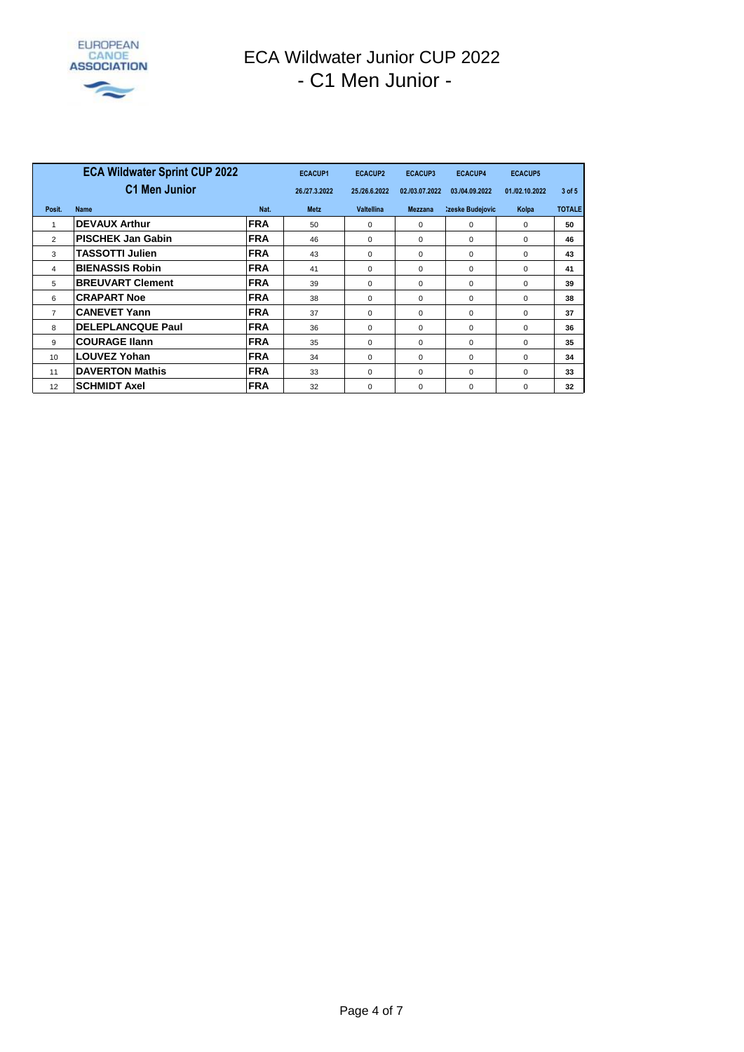

## ECA Wildwater Junior CUP 2022 - C1 Men Junior -

|                | <b>ECA Wildwater Sprint CUP 2022</b><br><b>C1 Men Junior</b> |            | <b>ECACUP1</b><br>26./27.3.2022 | <b>ECACUP2</b><br>25./26.6.2022 | <b>ECACUP3</b><br>02./03.07.2022 | <b>ECACUP4</b><br>03./04.09.2022 | <b>ECACUP5</b><br>01./02.10.2022 | $3$ of $5$    |
|----------------|--------------------------------------------------------------|------------|---------------------------------|---------------------------------|----------------------------------|----------------------------------|----------------------------------|---------------|
| Posit.         | Name                                                         | Nat.       | <b>Metz</b>                     | <b>Valtellina</b>               | <b>Mezzana</b>                   | <b>Zeske Budejovic</b>           | Kolpa                            | <b>TOTALE</b> |
| 1              | <b>DEVAUX Arthur</b>                                         | <b>FRA</b> | 50                              | $\Omega$                        | $\Omega$                         | $\Omega$                         | $\Omega$                         | 50            |
| $\overline{2}$ | <b>PISCHEK Jan Gabin</b>                                     | <b>FRA</b> | 46                              | 0                               | 0                                | 0                                | $\mathbf 0$                      | 46            |
| 3              | <b>TASSOTTI Julien</b>                                       | <b>FRA</b> | 43                              | $\Omega$                        | $\Omega$                         | $\Omega$                         | $\Omega$                         | 43            |
| 4              | <b>BIENASSIS Robin</b>                                       | <b>FRA</b> | 41                              | $\Omega$                        | $\Omega$                         | $\Omega$                         | $\Omega$                         | 41            |
| 5              | <b>BREUVART Clement</b>                                      | <b>FRA</b> | 39                              | $\Omega$                        | $\Omega$                         | $\Omega$                         | $\Omega$                         | 39            |
| 6              | <b>CRAPART Noe</b>                                           | <b>FRA</b> | 38                              | $\Omega$                        | $\Omega$                         | $\Omega$                         | $\Omega$                         | 38            |
| $\overline{7}$ | <b>CANEVET Yann</b>                                          | <b>FRA</b> | 37                              | 0                               | 0                                | $\Omega$                         | 0                                | 37            |
| 8              | <b>DELEPLANCQUE Paul</b>                                     | <b>FRA</b> | 36                              | $\Omega$                        | $\Omega$                         | $\Omega$                         | $\Omega$                         | 36            |
| 9              | <b>COURAGE Ilann</b>                                         | <b>FRA</b> | 35                              | 0                               | $\Omega$                         | 0                                | $\Omega$                         | 35            |
| 10             | <b>LOUVEZ Yohan</b>                                          | <b>FRA</b> | 34                              | 0                               | 0                                | 0                                | 0                                | 34            |
| 11             | <b>DAVERTON Mathis</b>                                       | <b>FRA</b> | 33                              | $\Omega$                        | $\Omega$                         | $\Omega$                         | $\Omega$                         | 33            |
| 12             | <b>SCHMIDT Axel</b>                                          | <b>FRA</b> | 32                              | $\Omega$                        | $\Omega$                         | $\Omega$                         | $\Omega$                         | 32            |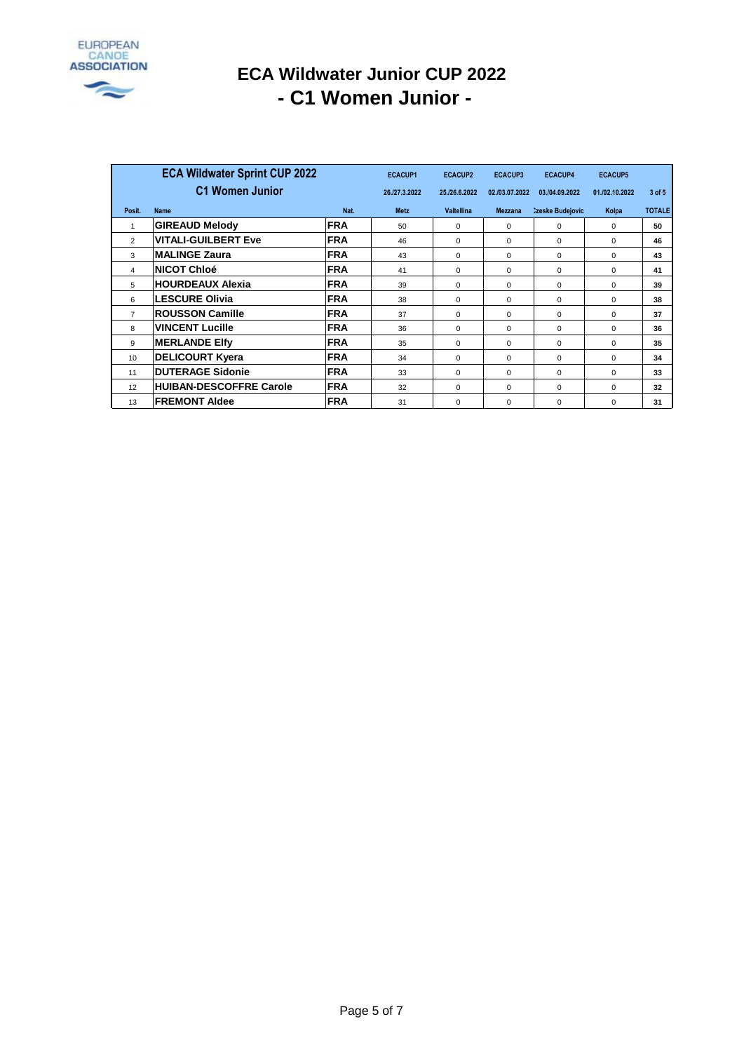

## **ECA Wildwater Junior CUP 2022 - C1 Women Junior -**

|                 | <b>ECA Wildwater Sprint CUP 2022</b><br><b>C1 Women Junior</b> |            | <b>ECACUP1</b><br>26./27.3.2022 | <b>ECACUP2</b><br>25./26.6.2022 | <b>ECACUP3</b><br>02./03.07.2022 | <b>ECACUP4</b><br>03./04.09.2022 | <b>ECACUP5</b><br>01./02.10.2022 | 3 of 5        |
|-----------------|----------------------------------------------------------------|------------|---------------------------------|---------------------------------|----------------------------------|----------------------------------|----------------------------------|---------------|
| Posit.          | Name                                                           | Nat.       | <b>Metz</b>                     | <b>Valtellina</b>               | <b>Mezzana</b>                   | <b>Zeske Budejovic</b>           | Kolpa                            | <b>TOTALE</b> |
| $\mathbf{1}$    | <b>GIREAUD Melody</b>                                          | <b>FRA</b> | 50                              | 0                               | $\Omega$                         | $\Omega$                         | $\Omega$                         | 50            |
| $\overline{2}$  | <b>VITALI-GUILBERT Eve</b>                                     | <b>FRA</b> | 46                              | 0                               | $\Omega$                         | $\Omega$                         | $\Omega$                         | 46            |
| 3               | <b>MALINGE Zaura</b>                                           | <b>FRA</b> | 43                              | $\Omega$                        | $\Omega$                         | $\Omega$                         | $\Omega$                         | 43            |
| 4               | <b>NICOT Chloé</b>                                             | <b>FRA</b> | 41                              | $\Omega$                        | $\Omega$                         | $\Omega$                         | $\Omega$                         | 41            |
| 5               | <b>HOURDEAUX Alexia</b>                                        | <b>FRA</b> | 39                              | $\Omega$                        | $\Omega$                         | $\Omega$                         | $\Omega$                         | 39            |
| 6               | <b>LESCURE Olivia</b>                                          | <b>FRA</b> | 38                              | 0                               | 0                                | 0                                | $\mathbf 0$                      | 38            |
| $\overline{7}$  | <b>ROUSSON Camille</b>                                         | <b>FRA</b> | 37                              | 0                               | $\Omega$                         | $\Omega$                         | $\Omega$                         | 37            |
| 8               | <b>VINCENT Lucille</b>                                         | <b>FRA</b> | 36                              | $\Omega$                        | $\Omega$                         | $\Omega$                         | $\Omega$                         | 36            |
| 9               | <b>MERLANDE EIfy</b>                                           | <b>FRA</b> | 35                              | $\Omega$                        | $\Omega$                         | $\Omega$                         | $\Omega$                         | 35            |
| 10 <sup>1</sup> | <b>DELICOURT Kyera</b>                                         | <b>FRA</b> | 34                              | $\Omega$                        | $\Omega$                         | $\Omega$                         | $\Omega$                         | 34            |
| 11              | <b>DUTERAGE Sidonie</b>                                        | <b>FRA</b> | 33                              | 0                               | $\Omega$                         | $\Omega$                         | $\Omega$                         | 33            |
| 12              | <b>HUIBAN-DESCOFFRE Carole</b>                                 | <b>FRA</b> | 32                              | $\Omega$                        | $\Omega$                         | $\Omega$                         | $\Omega$                         | 32            |
| 13              | <b>FREMONT Aldee</b>                                           | <b>FRA</b> | 31                              | $\Omega$                        | $\Omega$                         | $\Omega$                         | $\Omega$                         | 31            |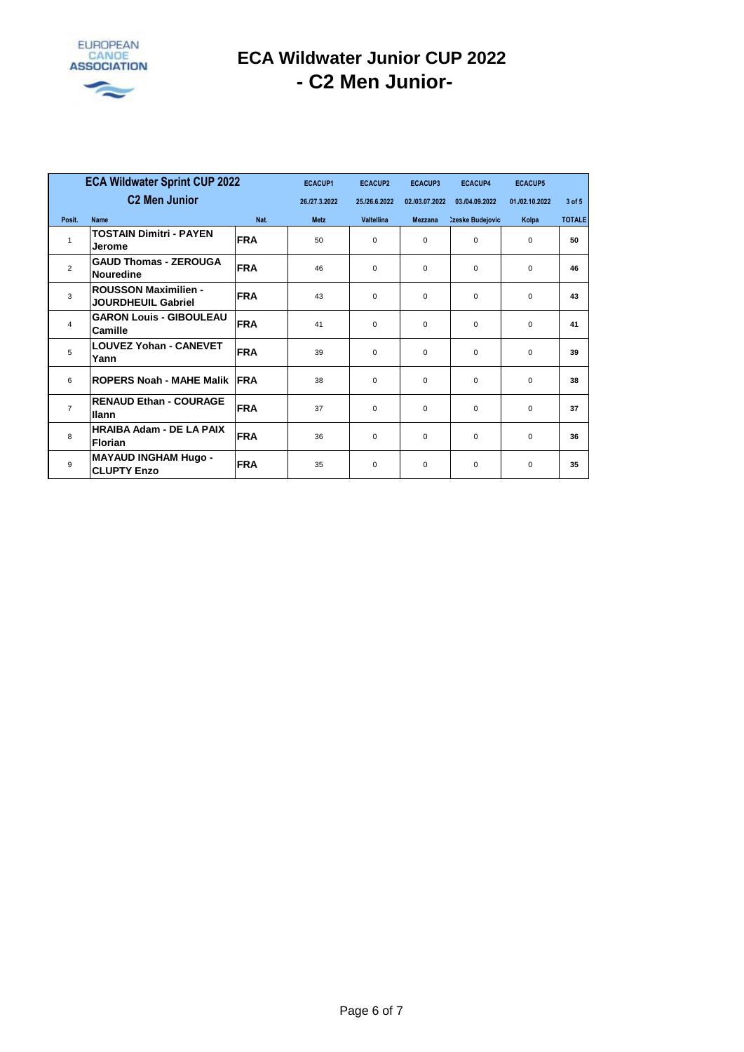

## **ECA Wildwater Junior CUP 2022 - C2 Men Junior-**

| <b>ECA Wildwater Sprint CUP 2022</b> |                                                          |             | <b>ECACUP1</b> | <b>ECACUP2</b>    | <b>ECACUP3</b> | <b>ECACUP4</b>         | <b>ECACUP5</b> |               |
|--------------------------------------|----------------------------------------------------------|-------------|----------------|-------------------|----------------|------------------------|----------------|---------------|
|                                      | <b>C2 Men Junior</b>                                     |             | 26./27.3.2022  | 25./26.6.2022     | 02./03.07.2022 | 03./04.09.2022         | 01./02.10.2022 | $3$ of $5$    |
| Posit.                               | Name                                                     | Nat.        | <b>Metz</b>    | <b>Valtellina</b> | <b>Mezzana</b> | <b>Zeske Budejovic</b> | Kolpa          | <b>TOTALE</b> |
| 1                                    | <b>TOSTAIN Dimitri - PAYEN</b><br>Jerome                 | <b>FRA</b>  | 50             | $\Omega$          | $\Omega$       | $\Omega$               | $\Omega$       | 50            |
| $\overline{2}$                       | <b>GAUD Thomas - ZEROUGA</b><br><b>Nouredine</b>         | <b>FRA</b>  | 46             | $\Omega$          | $\mathbf 0$    | $\mathbf 0$            | $\Omega$       | 46            |
| 3                                    | <b>ROUSSON Maximilien -</b><br><b>JOURDHEUIL Gabriel</b> | <b>FRA</b>  | 43             | $\Omega$          | 0              | $\mathbf 0$            | $\mathbf 0$    | 43            |
| 4                                    | <b>GARON Louis - GIBOULEAU</b><br>Camille                | <b>FRA</b>  | 41             | $\Omega$          | $\Omega$       | $\Omega$               | $\Omega$       | 41            |
| 5                                    | <b>LOUVEZ Yohan - CANEVET</b><br>Yann                    | <b>FRA</b>  | 39             | $\mathbf 0$       | $\mathbf 0$    | $\mathbf 0$            | $\mathbf 0$    | 39            |
| 6                                    | <b>ROPERS Noah - MAHE Malik</b>                          | <b>IFRA</b> | 38             | $\mathbf 0$       | 0              | $\mathbf 0$            | $\Omega$       | 38            |
| $\overline{7}$                       | <b>RENAUD Ethan - COURAGE</b><br><b>Ilann</b>            | <b>FRA</b>  | 37             | $\mathbf 0$       | $\mathbf 0$    | $\mathbf 0$            | $\Omega$       | 37            |
| 8                                    | <b>HRAIBA Adam - DE LA PAIX</b><br><b>Florian</b>        | <b>FRA</b>  | 36             | $\Omega$          | $\mathbf 0$    | $\Omega$               | $\Omega$       | 36            |
| 9                                    | <b>MAYAUD INGHAM Hugo -</b><br><b>CLUPTY Enzo</b>        | <b>FRA</b>  | 35             | $\Omega$          | $\mathbf 0$    | $\mathbf 0$            | $\Omega$       | 35            |